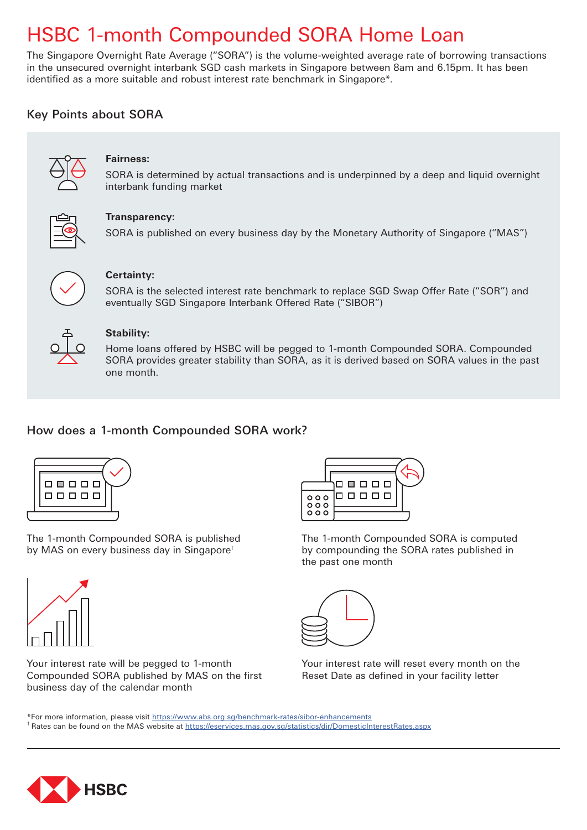# HSBC 1-month Compounded SORA Home Loan

The Singapore Overnight Rate Average ("SORA") is the volume-weighted average rate of borrowing transactions in the unsecured overnight interbank SGD cash markets in Singapore between 8am and 6.15pm. It has been identified as a more suitable and robust interest rate benchmark in Singapore\*.

## Key Points about SORA



### **Fairness:**

SORA is determined by actual transactions and is underpinned by a deep and liquid overnight interbank funding market



#### **Transparency:**

SORA is published on every business day by the Monetary Authority of Singapore ("MAS")



#### **Certainty:**

SORA is the selected interest rate benchmark to replace SGD Swap Offer Rate ("SOR") and eventually SGD Singapore Interbank Offered Rate ("SIBOR")



#### **Stability:**

Home loans offered by HSBC will be pegged to 1-month Compounded SORA. Compounded SORA provides greater stability than SORA, as it is derived based on SORA values in the past one month.

## How does a 1-month Compounded SORA work?



The 1-month Compounded SORA is published by MAS on every business day in Singapore†



Your interest rate will be pegged to 1-month Compounded SORA published by MAS on the first business day of the calendar month



The 1-month Compounded SORA is computed by compounding the SORA rates published in the past one month



Your interest rate will reset every month on the Reset Date as defined in your facility letter

\*For more information, please visit https://www.abs.org.sg/benchmark-rates/sibor-enhancements <sup>†</sup> Rates can be found on the MAS website at https://eservices.mas.gov.sg/statistics/dir/DomesticInterestRates.aspx